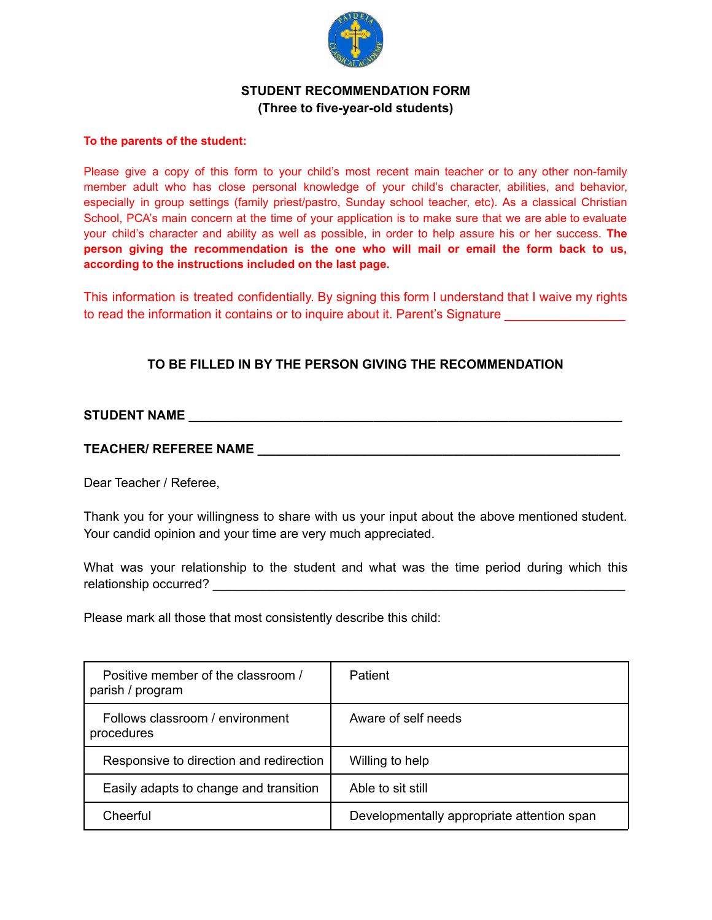

## **STUDENT RECOMMENDATION FORM (Three to five-year-old students)**

#### **To the parents of the student:**

Please give a copy of this form to your child's most recent main teacher or to any other non-family member adult who has close personal knowledge of your child's character, abilities, and behavior, especially in group settings (family priest/pastro, Sunday school teacher, etc). As a classical Christian School, PCA's main concern at the time of your application is to make sure that we are able to evaluate your child's character and ability as well as possible, in order to help assure his or her success. **The person giving the recommendation is the one who will mail or email the form back to us, according to the instructions included on the last page.**

This information is treated confidentially. By signing this form I understand that I waive my rights to read the information it contains or to inquire about it. Parent's Signature

# **TO BE FILLED IN BY THE PERSON GIVING THE RECOMMENDATION**

### **STUDENT NAME \_\_\_\_\_\_\_\_\_\_\_\_\_\_\_\_\_\_\_\_\_\_\_\_\_\_\_\_\_\_\_\_\_\_\_\_\_\_\_\_\_\_\_\_\_\_\_\_\_\_\_\_\_\_\_\_\_\_\_\_\_**

### **TEACHER/ REFEREE NAME \_\_\_\_\_\_\_\_\_\_\_\_\_\_\_\_\_\_\_\_\_\_\_\_\_\_\_\_\_\_\_\_\_\_\_\_\_\_\_\_\_\_\_\_\_\_\_\_\_\_\_**

Dear Teacher / Referee,

Thank you for your willingness to share with us your input about the above mentioned student. Your candid opinion and your time are very much appreciated.

What was your relationship to the student and what was the time period during which this relationship occurred? \_\_\_\_\_\_\_\_\_\_\_\_\_\_\_\_\_\_\_\_\_\_\_\_\_\_\_\_\_\_\_\_\_\_\_\_\_\_\_\_\_\_\_\_\_\_\_\_\_\_\_\_\_\_\_\_\_\_

Please mark all those that most consistently describe this child:

| Positive member of the classroom /<br>parish / program | <b>Patient</b>                             |
|--------------------------------------------------------|--------------------------------------------|
| Follows classroom / environment<br>procedures          | Aware of self needs                        |
| Responsive to direction and redirection                | Willing to help                            |
| Easily adapts to change and transition                 | Able to sit still                          |
| Cheerful                                               | Developmentally appropriate attention span |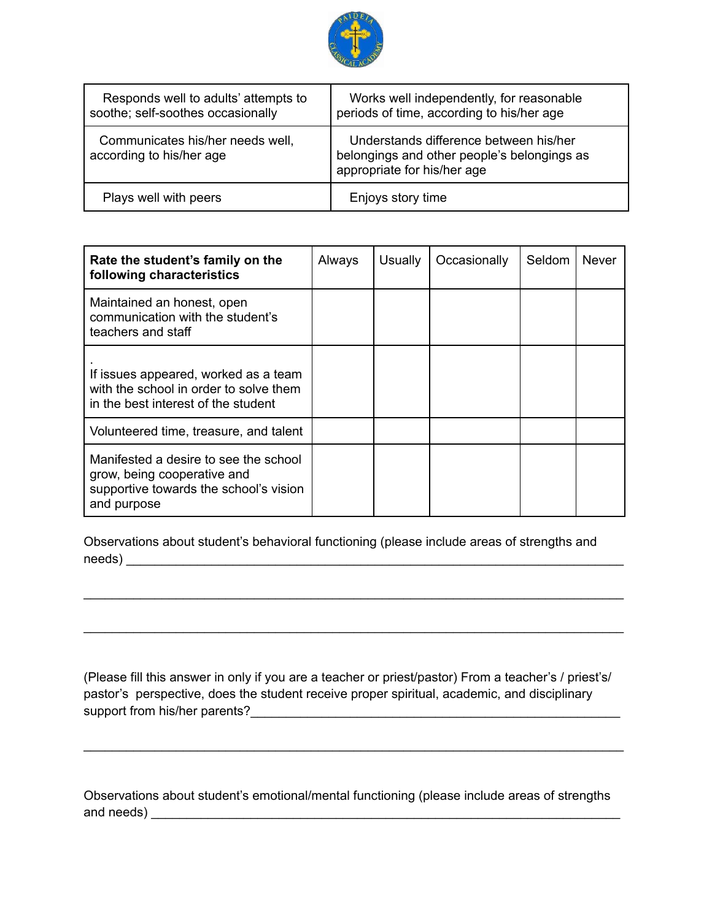

| Responds well to adults' attempts to<br>soothe; self-soothes occasionally | Works well independently, for reasonable<br>periods of time, according to his/her age                                |
|---------------------------------------------------------------------------|----------------------------------------------------------------------------------------------------------------------|
| Communicates his/her needs well,<br>according to his/her age              | Understands difference between his/her<br>belongings and other people's belongings as<br>appropriate for his/her age |
| Plays well with peers                                                     | Enjoys story time                                                                                                    |

| Rate the student's family on the<br>following characteristics                                                                 | Always | <b>Usually</b> | Occasionally | Seldom | <b>Never</b> |
|-------------------------------------------------------------------------------------------------------------------------------|--------|----------------|--------------|--------|--------------|
| Maintained an honest, open<br>communication with the student's<br>teachers and staff                                          |        |                |              |        |              |
| If issues appeared, worked as a team<br>with the school in order to solve them<br>in the best interest of the student         |        |                |              |        |              |
| Volunteered time, treasure, and talent                                                                                        |        |                |              |        |              |
| Manifested a desire to see the school<br>grow, being cooperative and<br>supportive towards the school's vision<br>and purpose |        |                |              |        |              |

Observations about student's behavioral functioning (please include areas of strengths and needs) \_\_\_\_\_\_\_\_\_\_\_\_\_\_\_\_\_\_\_\_\_\_\_\_\_\_\_\_\_\_\_\_\_\_\_\_\_\_\_\_\_\_\_\_\_\_\_\_\_\_\_\_\_\_\_\_\_\_\_\_\_\_\_\_\_\_\_\_\_\_

\_\_\_\_\_\_\_\_\_\_\_\_\_\_\_\_\_\_\_\_\_\_\_\_\_\_\_\_\_\_\_\_\_\_\_\_\_\_\_\_\_\_\_\_\_\_\_\_\_\_\_\_\_\_\_\_\_\_\_\_\_\_\_\_\_\_\_\_\_\_\_\_\_\_\_\_

\_\_\_\_\_\_\_\_\_\_\_\_\_\_\_\_\_\_\_\_\_\_\_\_\_\_\_\_\_\_\_\_\_\_\_\_\_\_\_\_\_\_\_\_\_\_\_\_\_\_\_\_\_\_\_\_\_\_\_\_\_\_\_\_\_\_\_\_\_\_\_\_\_\_\_\_

(Please fill this answer in only if you are a teacher or priest/pastor) From a teacher's / priest's/ pastor's perspective, does the student receive proper spiritual, academic, and disciplinary support from his/her parents?\_\_\_\_\_\_\_\_\_\_\_\_\_\_\_\_\_\_\_\_\_\_\_\_\_\_\_\_\_\_\_\_\_\_\_\_\_\_\_\_\_\_\_\_\_\_\_\_\_\_\_\_

\_\_\_\_\_\_\_\_\_\_\_\_\_\_\_\_\_\_\_\_\_\_\_\_\_\_\_\_\_\_\_\_\_\_\_\_\_\_\_\_\_\_\_\_\_\_\_\_\_\_\_\_\_\_\_\_\_\_\_\_\_\_\_\_\_\_\_\_\_\_\_\_\_\_\_\_

Observations about student's emotional/mental functioning (please include areas of strengths and needs) \_\_\_\_\_\_\_\_\_\_\_\_\_\_\_\_\_\_\_\_\_\_\_\_\_\_\_\_\_\_\_\_\_\_\_\_\_\_\_\_\_\_\_\_\_\_\_\_\_\_\_\_\_\_\_\_\_\_\_\_\_\_\_\_\_\_